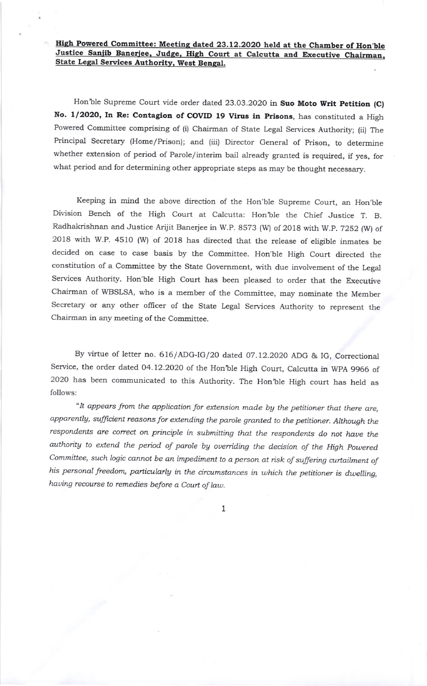## High Powered Committee: Meeting dated 23.12.2020 held at the Chamber of Hon'ble Justice Sanjib Banerjee, Judge, High Court at Calcutta and Executive Chairman, State Legal Services Authority, West Bengal.

Hon'ble Supreme Court vide order dated 23.03.2020 in Suo Moto Writ Petition (C) No. 1/2020, In Re: Contagion of COVID 19 Virus in Prisons, has constituted a High Powered committee comprising of (i) chairman of State Legal Services Authority; (ii) The Principal Secretary (Home/Prison); and (iii) Director General of Prison, to determine whether extension of period of Parole/interim bail already granted is required, if yes, for what period and for determining other appropriate steps as may be thought necessary.

Keeping in mind the above direction of the Hon'ble Supreme Court, an Hon'ble Division Bench of the High Court at Calcutta: Hon'ble the Chief Justice T. B. Radhakrishnan and Justice Arijit Banerjee in w.p. 8s73 (w) of 2018 with w.p. T2s2 (w) of 2oi8 with w.P. 4510 (w) of 2018 has directed that the release of eligible inmates be decided on case to case basis by the Committee. Hon'ble High Court directed the constitution of a Committee by the State Government, with due involvement of the Legal services Authority. Hon'ble High court has been pleased to order that the Executive chairman of wBSLSA, who is a member of the committee, may nominate the Member Secretary or any other officer of the State Legal Services Authority to represent the Chairman in any meeting of the Committee.

By virtue of letter no. 616/ADG-IG/20 dated 07.12.2020 ADG & IG, Correctional Service, the order dated 04.72.2020 of the Hon'ble High court, calcutta in wpA 9966 of 2020 has been communicated to this Authority. The Hon'ble High court has held as follows:

"It appears from the application for extension made by the petitioner that there are, apparently, sufficient reasons for extending the parole granted to the petitioner. Although the respondents are correct on principle in submitting that the respondents do not have the authority to extend the period of parole by overriding the decision of the High Powered Committee, such logic cannot be an impediment to a person at risk of suffering curtailment of his personal freedom, particularly in the circumstances in which the petitioner is dwelling, having recourse to remedies before a Court of law.

1